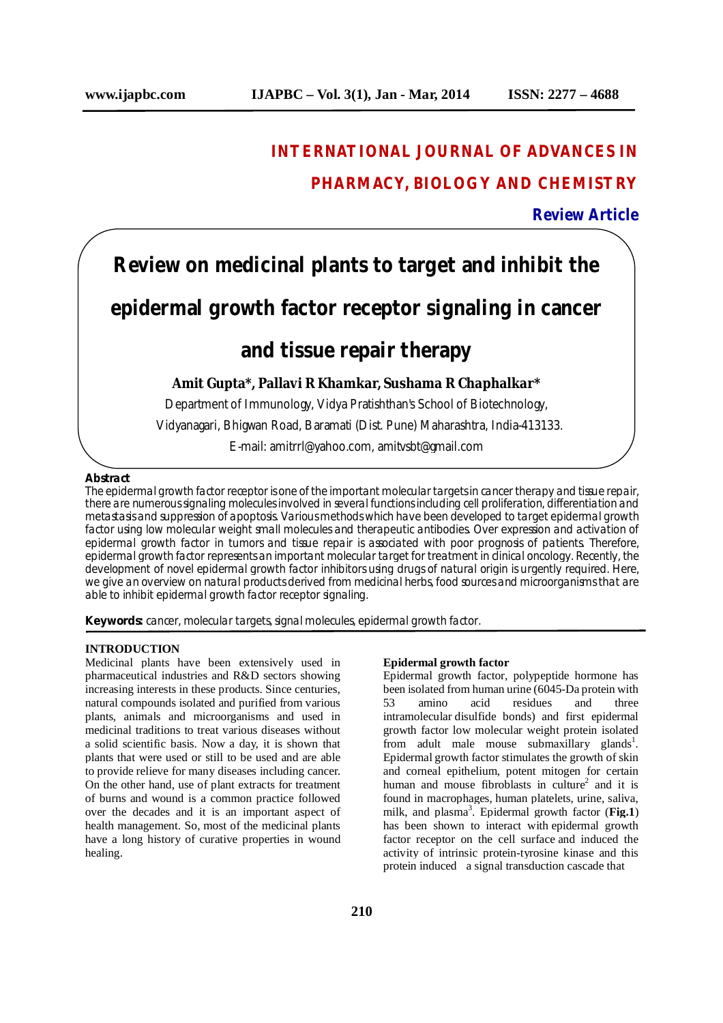## **INTERNATIONAL JOURNAL OF ADVANCES IN**

## **PHARMACY, BIOLOGY AND CHEMISTRY**

### **Review Article**

# **Review on medicinal plants to target and inhibit the**

## **epidermal growth factor receptor signaling in cancer**

## **and tissue repair therapy**

### **Amit Gupta\*, Pallavi R Khamkar, Sushama R Chaphalkar\***

Department of Immunology, Vidya Pratishthan's School of Biotechnology,

Vidyanagari, Bhigwan Road, Baramati (Dist. Pune) Maharashtra, India-413133.

E-mail: amitrrl@yahoo.com, amitvsbt@gmail.com

#### **Abstract**

The epidermal growth factor receptor is one of the important molecular targets in cancer therapy and tissue repair, there are numerous signaling molecules involved in several functions including cell proliferation, differentiation and metastasis and suppression of apoptosis. Various methods which have been developed to target epidermal growth factor using low molecular weight small molecules and therapeutic antibodies. Over expression and activation of epidermal growth factor in tumors and tissue repair is associated with poor prognosis of patients. Therefore, epidermal growth factor represents an important molecular target for treatment in clinical oncology. Recently, the development of novel epidermal growth factor inhibitors using drugs of natural origin is urgently required. Here, we give an overview on natural products derived from medicinal herbs, food sources and microorganisms that are able to inhibit epidermal growth factor receptor signaling.

**Keywords:** cancer, molecular targets, signal molecules, epidermal growth factor.

#### **INTRODUCTION**

Medicinal plants have been extensively used in pharmaceutical industries and R&D sectors showing increasing interests in these products. Since centuries, natural compounds isolated and purified from various plants, animals and microorganisms and used in medicinal traditions to treat various diseases without a solid scientific basis. Now a day, it is shown that plants that were used or still to be used and are able to provide relieve for many diseases including cancer. On the other hand, use of plant extracts for treatment of burns and wound is a common practice followed over the decades and it is an important aspect of health management. So, most of the medicinal plants have a long history of curative properties in wound healing.

#### **Epidermal growth factor**

Epidermal growth factor, polypeptide hormone has been isolated from human urine (6045-Da protein with 53 amino acid residues and three intramolecular disulfide bonds) and first epidermal growth factor low molecular weight protein isolated from adult male mouse submaxillary glands<sup>1</sup>. Epidermal growth factor stimulates the growth of skin and corneal epithelium, potent mitogen for certain human and mouse fibroblasts in culture<sup>2</sup> and it is found in macrophages, human platelets, urine, saliva, milk, and plasma<sup>3</sup> . Epidermal growth factor (**Fig.1**) has been shown to interact with epidermal growth factor receptor on the cell surface and induced the activity of intrinsic protein-tyrosine kinase and this protein induced a signal transduction cascade that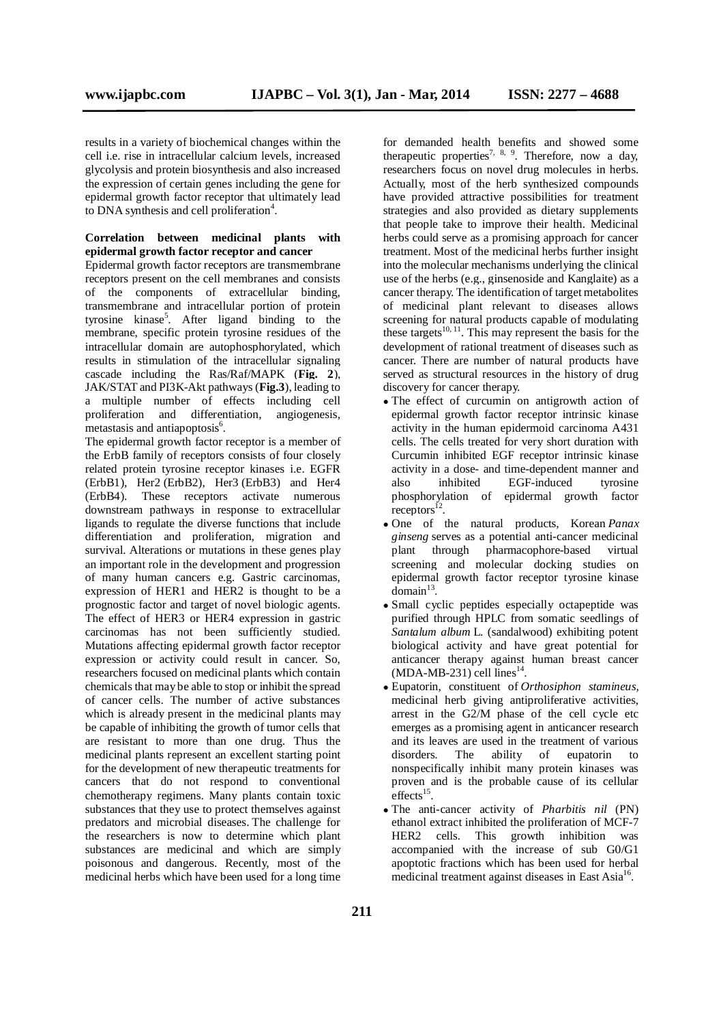results in a variety of biochemical changes within the cell i.e. rise in intracellular calcium levels, increased glycolysis and protein biosynthesis and also increased the expression of certain genes including the gene for epidermal growth factor receptor that ultimately lead to DNA synthesis and cell proliferation<sup>4</sup>.

#### **Correlation between medicinal plants with epidermal growth factor receptor and cancer**

Epidermal growth factor receptors are transmembrane receptors present on the cell membranes and consists of the components of extracellular binding, transmembrane and intracellular portion of protein tyrosine kinase<sup>5</sup>. After ligand binding to the membrane, specific protein tyrosine residues of the intracellular domain are autophosphorylated, which results in stimulation of the intracellular signaling cascade including the Ras/Raf/MAPK (**Fig. 2**), JAK/STAT and PI3K-Akt pathways (**Fig.3**), leading to a multiple number of effects including cell proliferation and differentiation, angiogenesis, metastasis and antiapoptosis<sup>6</sup>.

The epidermal growth factor receptor is a member of the ErbB family of receptors consists of four closely related protein tyrosine receptor kinases i.e. EGFR (ErbB1), Her2 (ErbB2), Her3 (ErbB3) and Her4 (ErbB4). These receptors activate numerous downstream pathways in response to extracellular ligands to regulate the diverse functions that include differentiation and proliferation, migration and survival. Alterations or mutations in these genes play an important role in the development and progression of many human cancers e.g. Gastric carcinomas, expression of HER1 and HER2 is thought to be a prognostic factor and target of novel biologic agents. The effect of HER3 or HER4 expression in gastric carcinomas has not been sufficiently studied. Mutations affecting epidermal growth factor receptor expression or activity could result in cancer. So, researchers focused on medicinal plants which contain chemicals that may be able to stop or inhibit the spread of cancer cells. The number of active substances which is already present in the medicinal plants may be capable of inhibiting the growth of tumor cells that are resistant to more than one drug. Thus the medicinal plants represent an excellent starting point for the development of new therapeutic treatments for cancers that do not respond to conventional chemotherapy regimens. Many plants contain toxic substances that they use to protect themselves against predators and microbial diseases. The challenge for the researchers is now to determine which plant substances are medicinal and which are simply poisonous and dangerous. Recently, most of the medicinal herbs which have been used for a long time

for demanded health benefits and showed some therapeutic properties<sup>7, 8, 9</sup>. Therefore, now a day, researchers focus on novel drug molecules in herbs. Actually, most of the herb synthesized compounds have provided attractive possibilities for treatment strategies and also provided as dietary supplements that people take to improve their health. Medicinal herbs could serve as a promising approach for cancer treatment. Most of the medicinal herbs further insight into the molecular mechanisms underlying the clinical use of the herbs (e.g., ginsenoside and Kanglaite) as a cancer therapy. The identification of target metabolites of medicinal plant relevant to diseases allows screening for natural products capable of modulating these targets<sup>10, 11</sup>. This may represent the basis for the development of rational treatment of diseases such as cancer. There are number of natural products have served as structural resources in the history of drug discovery for cancer therapy.

- The effect of curcumin on antigrowth action of epidermal growth factor receptor intrinsic kinase activity in the human epidermoid carcinoma A431 cells. The cells treated for very short duration with Curcumin inhibited EGF receptor intrinsic kinase activity in a dose- and time-dependent manner and<br>also inhibited EGF-induced tyrosine also inhibited EGF-induced phosphorylation of epidermal growth factor  $receptors<sup>12</sup>$ .
- One of the natural products, Korean *Panax ginseng* serves as a potential anti-cancer medicinal plant through pharmacophore-based virtual screening and molecular docking studies on epidermal growth factor receptor tyrosine kinase  $domain<sup>13</sup>$ .
- Small cyclic peptides especially octapeptide was purified through HPLC from somatic seedlings of *Santalum album* L. (sandalwood) exhibiting potent biological activity and have great potential for anticancer therapy against human breast cancer  $(MDA-MB-231)$  cell lines<sup>14</sup>.
- Eupatorin, constituent of *Orthosiphon stamineus,* medicinal herb giving antiproliferative activities, arrest in the G2/M phase of the cell cycle etc emerges as a promising agent in anticancer research and its leaves are used in the treatment of various disorders. The ability of eupatorin to nonspecifically inhibit many protein kinases was proven and is the probable cause of its cellular  $effects$ <sup>15</sup>.
- The anti-cancer activity of *Pharbitis nil* (PN) ethanol extract inhibited the proliferation of MCF-7 HER2 cells. This growth inhibition was accompanied with the increase of sub G0/G1 apoptotic fractions which has been used for herbal medicinal treatment against diseases in East Asia<sup>16</sup>.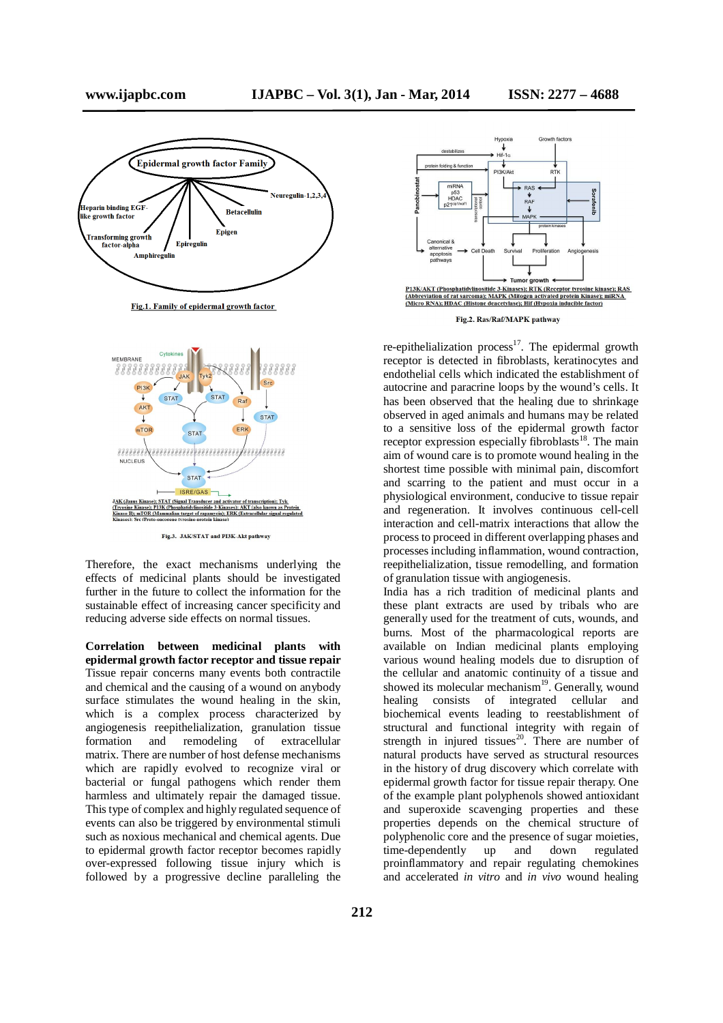

Fig.1. Family of epidermal growth factor



Fig.3. JAK/STAT and PI3K-Akt pathway

Therefore, the exact mechanisms underlying the effects of medicinal plants should be investigated further in the future to collect the information for the sustainable effect of increasing cancer specificity and reducing adverse side effects on normal tissues.

**Correlation between medicinal plants with epidermal growth factor receptor and tissue repair** Tissue repair concerns many events both contractile and chemical and the causing of a wound on anybody surface stimulates the wound healing in the skin, which is a complex process characterized by angiogenesis reepithelialization, granulation tissue<br>formation and remodeling of extracellular formation and remodeling of extracellular matrix. There are number of host defense mechanisms which are rapidly evolved to recognize viral or bacterial or fungal pathogens which render them harmless and ultimately repair the damaged tissue. This type of complex and highly regulated sequence of events can also be triggered by environmental stimuli such as noxious mechanical and chemical agents. Due to epidermal growth factor receptor becomes rapidly over-expressed following tissue injury which is followed by a progressive decline paralleling the



Fig.2. Ras/Raf/MAPK pathway

re-epithelialization process $17$ . The epidermal growth receptor is detected in fibroblasts, keratinocytes and endothelial cells which indicated the establishment of autocrine and paracrine loops by the wound's cells. It has been observed that the healing due to shrinkage observed in aged animals and humans may be related to a sensitive loss of the epidermal growth factor receptor expression especially fibroblasts<sup>18</sup>. The main aim of wound care is to promote wound healing in the shortest time possible with minimal pain, discomfort and scarring to the patient and must occur in a physiological environment, conducive to tissue repair and regeneration. It involves continuous cell-cell interaction and cell-matrix interactions that allow the process to proceed in different overlapping phases and processes including inflammation, wound contraction, reepithelialization, tissue remodelling, and formation of granulation tissue with angiogenesis.

India has a rich tradition of medicinal plants and these plant extracts are used by tribals who are generally used for the treatment of cuts, wounds, and burns. Most of the pharmacological reports are available on Indian medicinal plants employing various wound healing models due to disruption of the cellular and anatomic continuity of a tissue and showed its molecular mechanism<sup>19</sup>. Generally, wound healing consists of integrated cellular and biochemical events leading to reestablishment of structural and functional integrity with regain of strength in injured tissues<sup>20</sup>. There are number of natural products have served as structural resources in the history of drug discovery which correlate with epidermal growth factor for tissue repair therapy. One of the example plant polyphenols showed antioxidant and superoxide scavenging properties and these properties depends on the chemical structure of polyphenolic core and the presence of sugar moieties, time-dependently up and down regulated proinflammatory and repair regulating chemokines and accelerated *in vitro* and *in vivo* wound healing